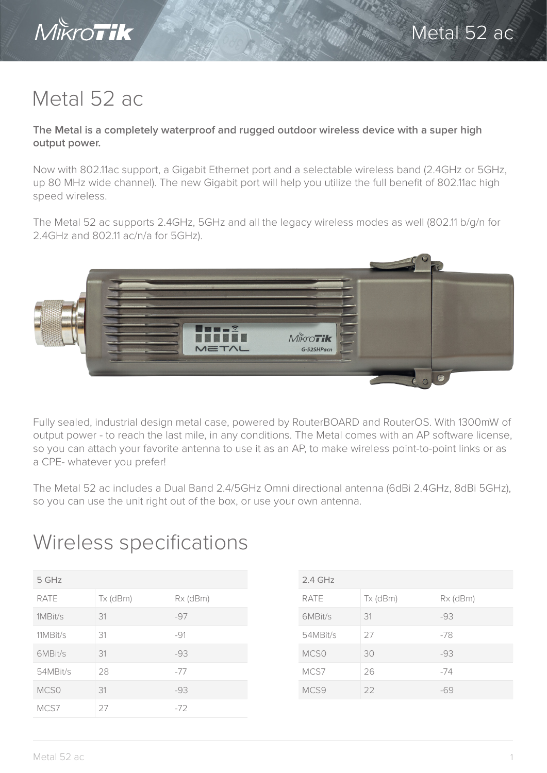

## Metal 52 ac

MIKroTik

**The Metal is a completely waterproof and rugged outdoor wireless device with a super high output power.**

Now with 802.11ac support, a Gigabit Ethernet port and a selectable wireless band (2.4GHz or 5GHz, up 80 MHz wide channel). The new Gigabit port will help you utilize the full benefit of 802.11ac high speed wireless.

The Metal 52 ac supports 2.4GHz, 5GHz and all the legacy wireless modes as well (802.11 b/g/n for 2.4GHz and 802.11 ac/n/a for 5GHz).



Fully sealed, industrial design metal case, powered by RouterBOARD and RouterOS. With 1300mW of output power - to reach the last mile, in any conditions. The Metal comes with an AP software license, so you can attach your favorite antenna to use it as an AP, to make wireless point-to-point links or as a CPE- whatever you prefer!

The Metal 52 ac includes a Dual Band 2.4/5GHz Omni directional antenna (6dBi 2.4GHz, 8dBi 5GHz), so you can use the unit right out of the box, or use your own antenna.

## Wireless specifications

| 5 GHz            |            |          |  |  |
|------------------|------------|----------|--|--|
| <b>RATE</b>      | $Tx$ (dBm) | Rx (dBm) |  |  |
| 1MBit/s          | 31         | $-97$    |  |  |
| 11MBit/s         | 31         | $-91$    |  |  |
| 6MBit/s          | 31         | $-93$    |  |  |
| 54MBit/s         | 28         | $-77$    |  |  |
| MCS <sub>0</sub> | 31         | $-93$    |  |  |
| MCS7             | 27         | $-72$    |  |  |

| $2.4$ GHz        |          |          |  |  |
|------------------|----------|----------|--|--|
| <b>RATE</b>      | Tx (dBm) | Rx (dBm) |  |  |
| 6MBit/s          | 31       | $-93$    |  |  |
| 54MBit/s         | 27       | $-78$    |  |  |
| MCS <sub>0</sub> | 30       | $-93$    |  |  |
| MCS7             | 26       | $-74$    |  |  |
| MCS9             | 22       | -69      |  |  |